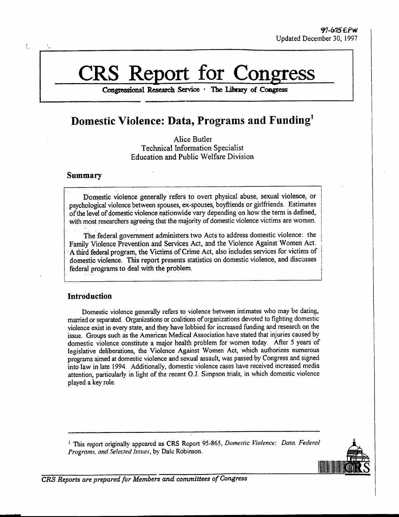# **CRS Report for Congress**

**Congressional Research Service** *-* **The Library of Congiess**

# **Domestic Violence: Data, Programs and Funding'**

Alice Butler Technical Information Specialist Education and Public Welfare Division

# **Summary**

 $\int$ 

Domestic violence generally refers to overt physical abuse, sexual violence, or psychological violence between spouses, ex-spouses, boyfriends or girlfriends. Estimates of the level of domestic violence nationwide vary depending on how the term is defined, with most researchers agreeing that the majority of domestic violence victims are women.

The federal government administers two Acts to address domestic violence: the Family Violence Prevention and Services Act, and the Violence Against Women Act. A third federal program, the Victims of Crime Act, also includes services for victims of domestic violence. This report presents statistics on domestic violence, and discusses federal programs to deal with the problem.

# **Introduction**

Domestic violence generally refers to violence between intimates who may be dating, married or separated. Organizations or coalitions of organizations devoted to fighting domestic violence exist in every state, and they have lobbied for increased funding and research on the issue. Groups such as the American Medical Association have stated that injuries caused by domestic violence constitute a major health problem for women today. After 5 years of legislative deliberations, the Violence Against Women Act, which authorizes numerous programs aimed at domestic violence and sexual assault, was passed by Congress and signed into law in late 1994. Additionally, domestic violence cases have received increased media attention, particularly in light of the recent O.J. Simpson trials, in which domestic violence played a key role.

<sup>1</sup> This report originally appeared as CRS Report 95-865, *Domestic Violence: Data. Federal Programs, and Selected Issues,* by Dale Robinson.



*CRS Reports are prepared for Members and committees of Congress*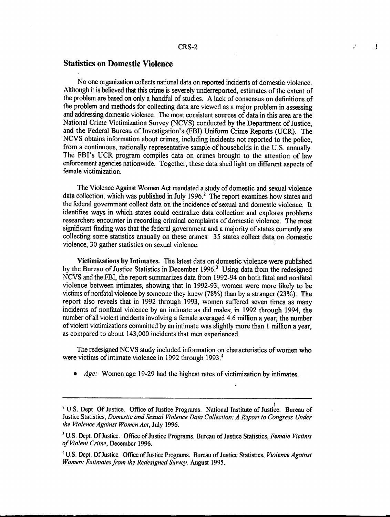₹

# **Statistics on Domestic Violence**

No one organization collects national data on reported incidents of domestic violence. Although it is believed that this crime is severely underreported, estimates of the extent of the problem are based on only a handful of studies. A lack of consensus on definitions of the problem and methods for collecting data are viewed as a major problem in assessing and addressing domestic violence. The most consistent sources of data in this area are the National Crime Victimization Survey (NCVS) conducted by the Department of Justice, and the Federal Bureau of Investigation's (FBI) Uniform Crime Reports (UCR). The NCVS obtains information about crimes, including incidents not reported to the police, from a continuous, nationally representative sample of households in the U.S. annually. The FBI's UCR program compiles data on crimes brought to the attention of law enforcement agencies nationwide. Together, these data shed light on different aspects of female victimization.

The Violence Against Women Act mandated a study of domestic and sexual violence data collection, which was published in July 1996.<sup>2</sup> The report examines how states and the federal government collect data on the incidence of sexual and domestic violence. It identifies ways in which states could centralize data collection and explores problems researchers encounter in recording criminal complaints of domestic violence. The most significant finding was that the federal government and a majority of states currently are collecting some statistics annually on these crimes: 35 states collect data on domestic violence, 30 gather statistics on sexual violence.

Victimizations **by** Intimates. The latest data on domestic violence were published by the Bureau of Justice Statistics in December 1996.<sup>3</sup> Using data from the redesigned NCVS and the FBI, the report summarizes data from 1992-94 on both fatal and nonfatal violence between intimates, showing that in 1992-93, women were more likely to be victims of nonfatal violence by someone they knew (78%) than by a stranger (23%). The report also reveals that in 1992 through 1993, women suffered seven times as many incidents of nonfatal violence by an intimate as did males; in 1992 through 1994, the number of all violent incidents involving a female averaged 4.6 million a year; the number of violent victimizations committed by an intimate was slightly more than 1 million a year, as compared to about 143,000 incidents that men experienced.

The redesigned NCVS study included information on characteristics of women who were victims of intimate violence in 1992 through 1993.<sup>4</sup>

\* *Age:* Women age 19-29 had the highest rates of victimization by intimates.

\_ \_. I \_\_I

<sup>&</sup>lt;sup>2</sup> U.S. Dept. Of Justice. Office of Justice Programs. National Institute of Justice. Bureau of Justice Statistics, *Domestic and Sexual Violence Data Collection: A Report to Congress Under the Violence Against Women Act,* July 1996.

<sup>3</sup> U.S. Dept. Of Justice. Office of Justice Programs. Bureau of Justice Statistics, *Female Victims of Violent Crime,* December 1996.

<sup>&</sup>lt;sup>4</sup> U.S. Dept. Of Justice. Office of Justice Programs. Bureau of Justice Statistics, *Violence Against Women: Estimates from the Redesigned Survey,* August 1995.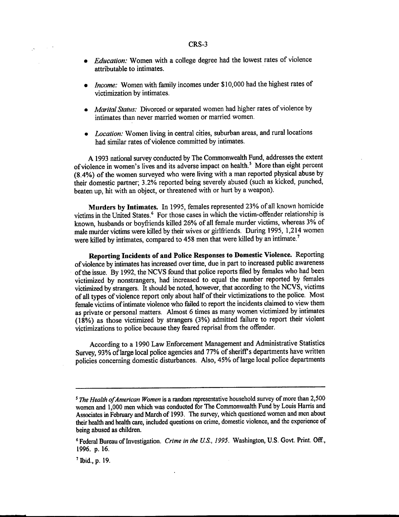#### CRS-3

- *Education:* Women with a college degree had the lowest rates of violence attributable to intimates.
- *Income:* Women with family incomes under \$10,000 had the highest rates of victimization by intimates.
- $*$  *Marital Status:* Divorced or separated women had higher rates of violence by intimates than never married women or married women.
- Location: Women living in central cities, suburban areas, and rural locations had similar rates of violence committed by intimates.

A 1993 national survey conducted by The Commonwealth Fund, addresses the extent of violence in women's lives and its adverse impact on health.<sup>5</sup> More than eight percent (8.4%) of the women surveyed who were living with a man reported physical abuse by their domestic partner; 3.2% reported being severely abused (such as kicked, punched, beaten up, hit with an object, or threatened with or hurt by a weapon).

**Murders by Intimates.** In 1995, females represented 23% of all known homicide victims in the United States.<sup>6</sup> For those cases in which the victim-offender relationship is known, husbands or boyfriends killed 26% of all female murder victims, whereas 3% of male murder victims were killed by their wives or girlfriends. During 1995, 1,214 women were killed by intimates, compared to 458 men that were killed by an intimate.<sup>7</sup>

**Reporting Incidents of and Police Responses to Domestic Violence.** Reporting of violence by intimates has increased over time, due in part to increased public awareness of the issue. By 1992, the NCVS found that police reports filed by females who had been victimized by nonstrangers, had increased to equal the number reported by females victimized by strangers. It should be noted, however, that according to the NCVS, victims of all types of violence report only about half of their victimizations to the police. Most female victims of intimate violence who failed to report the incidents claimed to view them as private or personal matters. Almost **6** times as many women victimized by intimates (18%) as those victimized by strangers (3%) admitted failure to report their violent victimizations to police because they feared reprisal from the offender.

According to a 1990 Law Enforcement Management and Administrative Statistics Survey, 93% of large local police agencies and **77%** of sheriff's departments have written policies concerning domestic disturbances. Also, 45% of large local police departments

--

 $\mathcal{L}$ 

<sup>5</sup> *The Health ofAmerican Women* is a random representative household survey of more than 2,500 women and 1,000 men which was conducted for The Commonwealth Fund by Louis Harris and Associates in February and March of 1993. The survey, which questioned women and men about their health and health care, included questions on crime, domestic violence, and the experience of being abused as children.

<sup>6</sup>Federal Bureau of Investigation. *Crime in the U.S., 1995.* Washington, U.S. Govt. Print. **Off.,** 1996. p. 16.

<sup>7</sup> Ibid., p. 19.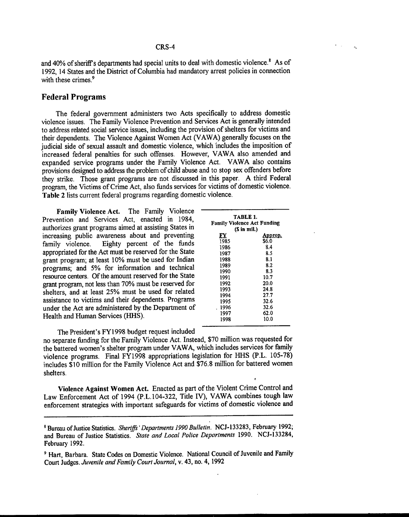and 40% of sheriff's departments had special units to deal with domestic violence.<sup>8</sup> As of 1992, 14 States and the District of Columbia had mandatory arrest policies in connection with these crimes.<sup>9</sup>

### **Federal Programs**

The federal government administers two Acts specifically to address domestic violence issues. The Family Violence Prevention and Services Act is generally intended to address related social service issues, including the provision of shelters for victims and their dependents. The Violence Against Women Act (VAWA) generally focuses on the judicial side of sexual assault and domestic violence, which includes the imposition of increased federal penalties for such offenses. However, VAWA also amended and expanded service programs under the Family Violence Act. VAWA also contains provisions designed to address the problem of child abuse and to stop sex offenders before they strike. Those grant programs are not discussed in this paper. A third Federal program, the Victims of Crime Act, also funds services for victims of domestic violence. **Table** 2 lists current federal programs regarding domestic violence.

**Family Violence Act.** The Family Violence Prevention and Services Act, enacted in 1984, authorizes grant programs aimed at assisting States in increasing public awareness about and preventing family violence. Eighty percent of the funds appropriated for the Act must be reserved for the State grant program; at least 10% must be used for Indian programs; and 5% for information and technical resource centers. Of the amount reserved for the State grant program, not less than 70% must be reserved for shelters, and at least 25% must be used for related assistance to victims and their dependents. Programs under the Act are administered by the Department of Health and Human Services (HHS).

| TABLE 1.<br>Family Violence Act Funding<br>(S in mil.) |         |  |  |  |  |
|--------------------------------------------------------|---------|--|--|--|--|
| FY                                                     | Approp. |  |  |  |  |
| 1985                                                   | \$6.0   |  |  |  |  |
| 1986                                                   | 8.4     |  |  |  |  |
| 1987                                                   | 8.5     |  |  |  |  |
| 1988                                                   | 8.1     |  |  |  |  |
| 1989                                                   | 8.2     |  |  |  |  |
| 1990                                                   | 8.3     |  |  |  |  |
| 1991                                                   | 10.7    |  |  |  |  |
| 1992                                                   | 20.0    |  |  |  |  |
| 1993                                                   | 24.8    |  |  |  |  |
| 1994                                                   | 27.7    |  |  |  |  |
| 1995                                                   | 32.6    |  |  |  |  |
| 1996                                                   | 32.6    |  |  |  |  |
| 1997                                                   | 62.0    |  |  |  |  |
| 1998                                                   | 10.0    |  |  |  |  |

The President's FY1998 budget request included

no separate funding for the Family Violence Act. Instead, \$70 million was requested for the battered women's shelter program under VAWA, which includes services for family violence programs. Final FY1998 appropriations legislation for HHS (P.L. 105-78) includes \$10 million for the Family Violence Act and \$76.8 million for battered women shelters.

Violence Against Women Act. Enacted as part of the Violent Crime Control and Law Enforcement Act of 1994 (P.L.104-322, Title IV), VAWA combines tough law enforcement strategies with important safeguards for victims of domestic violence and

SBureau of Justice Statistics. *Sheriffs'Departments 1990 Bulletin.* NCJ-133283, February 1992; and Bureau of Justice Statistics. *State and Local Police Departments* 1990. NCJ-133284, February 1992.

<sup>9</sup> Hart, Barbara. State Codes on Domestic Violence. National Council of Juvenile and Family Court Judges. *Juvenile and Family Court Journal,* v. 43, no. 4, 1992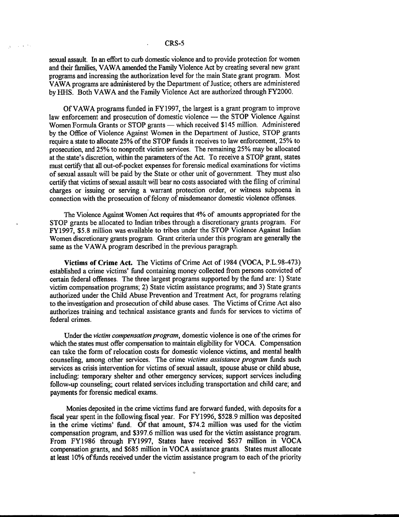#### CRS-5

 $\mathcal{L}_{\rm{max}}$  and  $\mathcal{L}_{\rm{max}}$ 

sexual assault. In an effort to curb domestic violence and to provide protection for women and their families, VAWA amended the Family Violence Act by creating several new grant programs and increasing the authorization level for the main State grant program. Most VAWA programs are administered by the Department of Justice; others are administered by HHS. Both VAWA and the Family Violence Act are authorized through FY2000.

Of VAWA programs funded in FY1997, the largest is a grant program to improve law enforcement and prosecution of domestic violence - the STOP Violence Against Women Formula Grants or STOP grants — which received \$145 million. Administered by the Office of Violence Against Women in the Department of Justice, STOP grants require a state to allocate 25% of the STOP funds it receives to law enforcement, 25% to prosecution, and 25% to nonprofit victim services. The remaining 25% may be allocated at the state's discretion, within the parameters of the Act. To receive a STOP grant, states must certify that all out-of-pocket expenses for forensic medical examinations for victims of sexual assault will be paid by the State or other unit of government. They must also certify that victims of sexual assault will bear no costs associated with the filing of criminal charges or issuing or serving a warrant protection order, or witness subpoena in connection with the prosecution of felony of misdemeanor domestic violence offenses.

The Violence Against Women Act requires that 4% of amounts appropriated for the STOP grants be allocated to Indian tribes through a discretionary grants program. For FY1997, \$5.8 million was available to tribes under the STOP Violence Against Indian Women discretionary grants program. Grant criteria under this program are generally the same as the VAWA program described in the previous paragraph.

**Victims of Crime** Act. The Victims of Crime Act of 1984 (VOCA, P.L.98-473) established a crime victims' fund containing money collected from persons convicted of certain federal offenses. The three largest programs supported by the fund are: 1) State victim compensation programs; 2) State victim assistance programs; and 3) State grants authorized under the Child Abuse Prevention and Treatment Act, for programs relating to the investigation and prosecution of child abuse cases. The Victims of Crime Act also authorizes training and technical assistance grants and funds for services to victims of federal crimes.

Under the *victim compensation program,* domestic violence is one of the crimes for which the states must offer compensation to maintain eligibility for VOCA. Compensation can take the form of relocation costs for domestic violence victims, and mental health counseling, among other services. The crime *victims assistance program* funds such services as crisis intervention for victims of sexual assault, spouse abuse or child abuse, including: temporary shelter and other emergency services; support services including follow-up counseling; court related services including transportation and child care; and payments for forensic medical exams.

Monies deposited in the crime victims fund are forward funded, with deposits for a fiscal year spent in the following fiscal year. For FY1996, \$528.9 million was deposited in the crime victims' fund. Of that amount, \$74.2 million was used for the victim compensation program, and \$397.6 million was used for the victim assistance program. From FY1986 through FY1997, States have received \$637 million in VOCA compensation grants, and \$685 million in VOCA assistance grants. States must allocate at least 10% of funds received under the victim assistance program to each of the priority